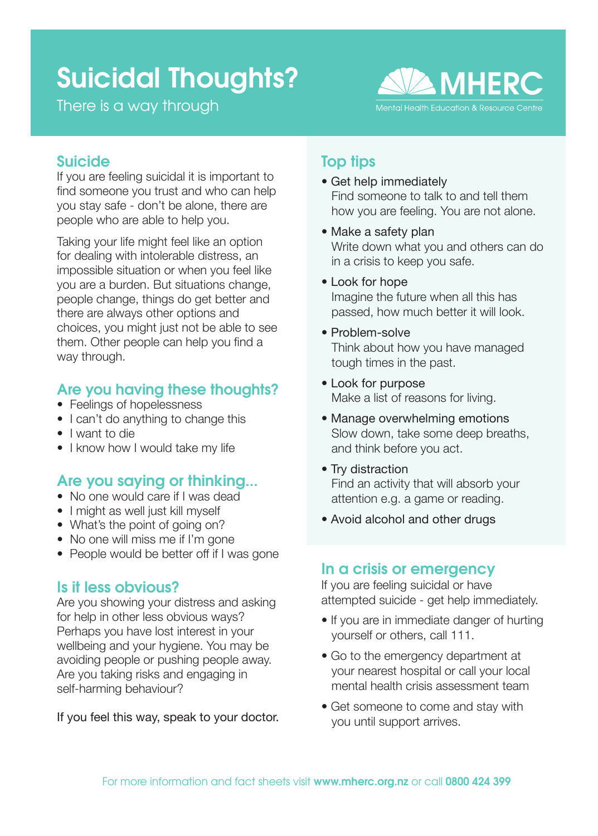# Suicidal Thoughts?

There is a way through



## Suicide

If you are feeling suicidal it is important to find someone you trust and who can help you stay safe - don't be alone, there are people who are able to help you.

Taking your life might feel like an option for dealing with intolerable distress, an impossible situation or when you feel like you are a burden. But situations change, people change, things do get better and there are always other options and choices, you might just not be able to see them. Other people can help you find a way through.

## Are you having these thoughts?

- Feelings of hopelessness
- I can't do anything to change this
- I want to die
- I know how I would take my life

## Are you saying or thinking...

- No one would care if I was dead
- I might as well just kill myself
- What's the point of going on?
- No one will miss me if I'm gone
- People would be better off if I was gone

## Is it less obvious?

Are you showing your distress and asking for help in other less obvious ways? Perhaps you have lost interest in your wellbeing and your hygiene. You may be avoiding people or pushing people away. Are you taking risks and engaging in self-harming behaviour?

If you feel this way, speak to your doctor.

## Top tips

- Get help immediately Find someone to talk to and tell them how you are feeling. You are not alone.
- Make a safety plan Write down what you and others can do in a crisis to keep you safe.
- Look for hope Imagine the future when all this has passed, how much better it will look.
- Problem-solve Think about how you have managed tough times in the past.
- Look for purpose Make a list of reasons for living.
- Manage overwhelming emotions Slow down, take some deep breaths, and think before you act.
- Try distraction Find an activity that will absorb your attention e.g. a game or reading.
- Avoid alcohol and other drugs

## In a crisis or emergency

If you are feeling suicidal or have attempted suicide - get help immediately.

- If you are in immediate danger of hurting yourself or others, call 111.
- Go to the emergency department at your nearest hospital or call your local mental health crisis assessment team
- Get someone to come and stay with you until support arrives.